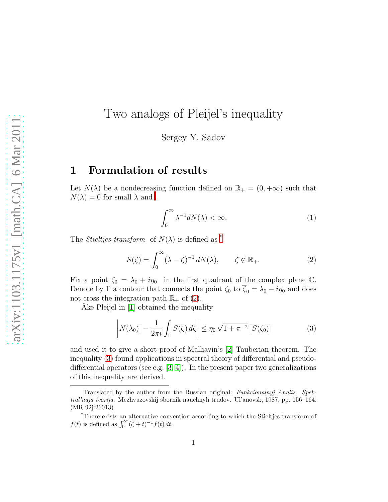# Two analogs of Pleijel's inequality

Sergey Y. Sadov

#### 1 Formulation of results

Let  $N(\lambda)$  be a nondecrea[s](#page-0-0)ing function defined on  $\mathbb{R}_+ = (0, +\infty)$  such that  $N(\lambda) = 0$  for small  $\lambda$  and

<span id="page-0-4"></span>
$$
\int_0^\infty \lambda^{-1} dN(\lambda) < \infty. \tag{1}
$$

The *Stielties transform* of  $N(\lambda)$  is defined as [\\*](#page-0-1)

<span id="page-0-2"></span>
$$
S(\zeta) = \int_0^\infty (\lambda - \zeta)^{-1} dN(\lambda), \qquad \zeta \notin \mathbb{R}_+.
$$
 (2)

Fix a point  $\zeta_0 = \lambda_0 + i\eta_0$  in the first quadrant of the complex plane C. Denote by  $\Gamma$  a contour that connects the point  $\zeta_0$  to  $\overline{\zeta}_0 = \lambda_0 - i\eta_0$  and does not cross the integration path  $\mathbb{R}_+$  of [\(2\)](#page-0-2).

Ake Pleijel in [\[1\]](#page-8-0) obtained the inequality

<span id="page-0-3"></span>
$$
\left|N(\lambda_0)| - \frac{1}{2\pi i} \int_{\Gamma} S(\zeta) d\zeta \right| \le \eta_0 \sqrt{1 + \pi^{-2}} \left|S(\zeta_0)\right| \tag{3}
$$

and used it to give a short proof of Malliavin's [\[2\]](#page-8-1) Tauberian theorem. The inequality [\(3\)](#page-0-3) found applications in spectral theory of differential and pseudodifferential operators (see e.g.  $(3, 4)$ ). In the present paper two generalizations of this inequality are derived.

<span id="page-0-0"></span>Translated by the author from the Russian original: Funkcionalnyj Analiz. Spektral'naja teorija. Mezhvuzovskij sbornik nauchnyh trudov. Ul'anovsk, 1987, pp. 156–164. (MR 92j:26013)

<span id="page-0-1"></span><sup>\*</sup>There exists an alternative convention according to which the Stieltjes transform of f(t) is defined as  $\int_0^\infty (\zeta + t)^{-1} f(t) dt$ .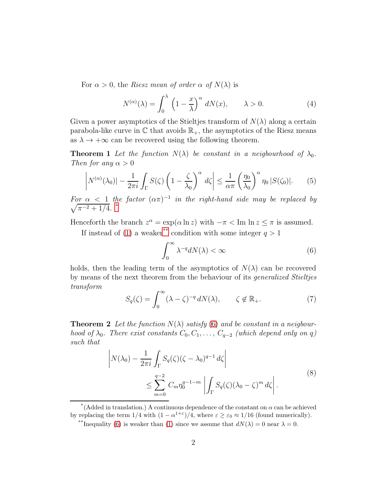For  $\alpha > 0$ , the Riesz mean of order  $\alpha$  of  $N(\lambda)$  is

$$
N^{(\alpha)}(\lambda) = \int_0^{\lambda} \left(1 - \frac{x}{\lambda}\right)^{\alpha} dN(x), \qquad \lambda > 0.
$$
 (4)

Given a power asymptotics of the Stieltjes transform of  $N(\lambda)$  along a certain parabola-like curve in  $\mathbb C$  that avoids  $\mathbb R_+$ , the asymptotics of the Riesz means as  $\lambda \to +\infty$  can be recovered using the following theorem.

<span id="page-1-3"></span>**Theorem 1** Let the function  $N(\lambda)$  be constant in a neigbourhood of  $\lambda_0$ . Then for any  $\alpha > 0$ 

<span id="page-1-4"></span>
$$
\left|N^{(\alpha)}(\lambda_0)| - \frac{1}{2\pi i} \int_{\Gamma} S(\zeta) \left(1 - \frac{\zeta}{\lambda_0}\right)^{\alpha} d\zeta\right| \le \frac{1}{\alpha \pi} \left(\frac{\eta_0}{\lambda_0}\right)^{\alpha} \eta_0 |S(\zeta_0)|. \tag{5}
$$

For  $\alpha$  < 1 the factor  $(\alpha \pi)^{-1}$  $\sqrt{}$ in the right-hand side may be replaced by  $\pi^{-2}+1/4$ . [\\*](#page-1-0)

Henceforth the branch  $z^{\alpha} = \exp(\alpha \ln z)$  with  $-\pi < \text{Im} \ln z \le \pi$  is assumed.

If instead of [\(1\)](#page-0-4) a weaker[\\*\\*](#page-1-1) condition with some integer  $q > 1$ 

<span id="page-1-2"></span>
$$
\int_0^\infty \lambda^{-q} dN(\lambda) < \infty \tag{6}
$$

holds, then the leading term of the asymptotics of  $N(\lambda)$  can be recovered by means of the next theorem from the behaviour of its generalized Stieltjes transform

$$
S_q(\zeta) = \int_0^\infty (\lambda - \zeta)^{-q} dN(\lambda), \qquad \zeta \notin \mathbb{R}_+.
$$
 (7)

<span id="page-1-5"></span>**Theorem 2** Let the function  $N(\lambda)$  satisfy [\(6\)](#page-1-2) and be constant in a neigbourhood of  $\lambda_0$ . There exist constants  $C_0, C_1, \ldots, C_{q-2}$  (which depend only on q) such that

<span id="page-1-6"></span>
$$
\left| N(\lambda_0) - \frac{1}{2\pi i} \int_{\Gamma} S_q(\zeta) (\zeta - \lambda_0)^{q-1} d\zeta \right|
$$
  

$$
\leq \sum_{m=0}^{q-2} C_m \eta_0^{q-1-m} \left| \int_{\Gamma} S_q(\zeta) (\lambda_0 - \zeta)^m d\zeta \right|.
$$
 (8)

<sup>\*(</sup>Added in translation.) A continuous dependence of the constant on  $\alpha$  can be achieved by replacing the term  $1/4$  with  $(1 - \alpha^{1+\epsilon})/4$ , where  $\varepsilon \geq \varepsilon_0 \approx 1/16$  (found numerically).

<span id="page-1-1"></span><span id="page-1-0"></span><sup>\*\*</sup>Inequality [\(6\)](#page-1-2) is weaker than [\(1\)](#page-0-4) since we assume that  $dN(\lambda) = 0$  near  $\lambda = 0$ .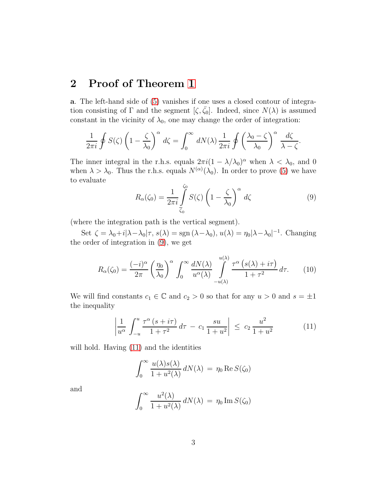### 2 Proof of Theorem [1](#page-1-3)

a. The left-hand side of [\(5\)](#page-1-4) vanishes if one uses a closed contour of integration consisting of Γ and the segment  $[\zeta, \overline{\zeta_0}]$ . Indeed, since  $N(\lambda)$  is assumed constant in the vicinity of  $\lambda_0$ , one may change the order of integration:

$$
\frac{1}{2\pi i} \oint S(\zeta) \left(1 - \frac{\zeta}{\lambda_0}\right)^{\alpha} d\zeta = \int_0^{\infty} dN(\lambda) \frac{1}{2\pi i} \oint \left(\frac{\lambda_0 - \zeta}{\lambda_0}\right)^{\alpha} \frac{d\zeta}{\lambda - \zeta}.
$$

The inner integral in the r.h.s. equals  $2\pi i(1 - \lambda/\lambda_0)^\alpha$  when  $\lambda < \lambda_0$ , and 0 when  $\lambda > \lambda_0$ . Thus the r.h.s. equals  $N^{(\alpha)}(\lambda_0)$ . In order to prove [\(5\)](#page-1-4) we have to evaluate

<span id="page-2-0"></span>
$$
R_{\alpha}(\zeta_0) = \frac{1}{2\pi i} \int\limits_{\overline{\zeta}_0}^{\zeta_0} S(\zeta) \left(1 - \frac{\zeta}{\lambda_0}\right)^{\alpha} d\zeta \tag{9}
$$

(where the integration path is the vertical segment).

Set  $\zeta = \lambda_0 + i|\lambda - \lambda_0|\tau$ ,  $s(\lambda) = \text{sgn}(\lambda - \lambda_0)$ ,  $u(\lambda) = \eta_0|\lambda - \lambda_0|^{-1}$ . Changing the order of integration in [\(9\)](#page-2-0), we get

<span id="page-2-2"></span>
$$
R_{\alpha}(\zeta_0) = \frac{(-i)^{\alpha}}{2\pi} \left(\frac{\eta_0}{\lambda_0}\right)^{\alpha} \int_0^{\infty} \frac{dN(\lambda)}{u^{\alpha}(\lambda)} \int_{-u(\lambda)}^{u(\lambda)} \frac{\tau^{\alpha} (s(\lambda) + i\tau)}{1 + \tau^2} d\tau.
$$
 (10)

We will find constants  $c_1 \in \mathbb{C}$  and  $c_2 > 0$  so that for any  $u > 0$  and  $s = \pm 1$ the inequality

<span id="page-2-1"></span>
$$
\left| \frac{1}{u^{\alpha}} \int_{-u}^{u} \frac{\tau^{\alpha} (s + i\tau)}{1 + \tau^{2}} d\tau - c_{1} \frac{su}{1 + u^{2}} \right| \leq c_{2} \frac{u^{2}}{1 + u^{2}} \tag{11}
$$

will hold. Having  $(11)$  and the identities

$$
\int_0^\infty \frac{u(\lambda)s(\lambda)}{1+u^2(\lambda)} dN(\lambda) = \eta_0 \operatorname{Re} S(\zeta_0)
$$

and

$$
\int_0^\infty \frac{u^2(\lambda)}{1+u^2(\lambda)} dN(\lambda) = \eta_0 \operatorname{Im} S(\zeta_0)
$$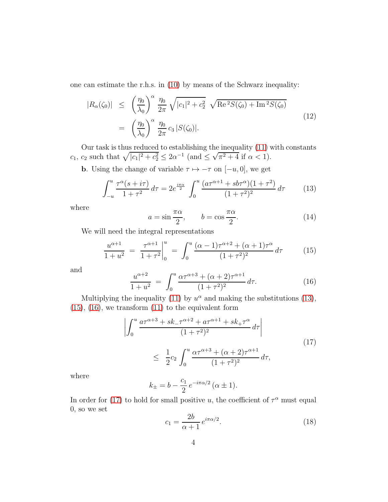one can estimate the r.h.s. in [\(10\)](#page-2-2) by means of the Schwarz inequality:

<span id="page-3-6"></span>
$$
|R_{\alpha}(\zeta_0)| \leq \left(\frac{\eta_0}{\lambda_0}\right)^{\alpha} \frac{\eta_0}{2\pi} \sqrt{|c_1|^2 + c_2^2} \sqrt{\text{Re}^2 S(\zeta_0) + \text{Im}^2 S(\zeta_0)}
$$
  

$$
= \left(\frac{\eta_0}{\lambda_0}\right)^{\alpha} \frac{\eta_0}{2\pi} c_3 |S(\zeta_0)|. \tag{12}
$$

Our task is thus reduced to establishing the inequality [\(11\)](#page-2-1) with constants  $c_1$ ,  $c_2$  such that  $\sqrt{|c_1|^2 + c_2^2} \leq 2\alpha^{-1}$  (and  $\leq \sqrt{\pi^2 + 4}$  if  $\alpha < 1$ ).

**b**. Using the change of variable  $\tau \mapsto -\tau$  on  $[-u, 0]$ , we get

<span id="page-3-0"></span>
$$
\int_{-u}^{u} \frac{\tau^{\alpha}(s+i\tau)}{1+\tau^2} d\tau = 2e^{\frac{i\pi\alpha}{2}} \int_{0}^{u} \frac{(a\tau^{\alpha+1} + s b\tau^{\alpha})(1+\tau^2)}{(1+\tau^2)^2} d\tau \tag{13}
$$

where

<span id="page-3-5"></span>
$$
a = \sin \frac{\pi \alpha}{2}, \qquad b = \cos \frac{\pi \alpha}{2}.
$$
 (14)

We will need the integral representations

<span id="page-3-1"></span>
$$
\frac{u^{\alpha+1}}{1+u^2} = \left. \frac{\tau^{\alpha+1}}{1+\tau^2} \right|_0^u = \int_0^u \frac{(\alpha-1)\tau^{\alpha+2} + (\alpha+1)\tau^{\alpha}}{(1+\tau^2)^2} d\tau \tag{15}
$$

and

<span id="page-3-2"></span>
$$
\frac{u^{\alpha+2}}{1+u^2} = \int_0^u \frac{\alpha \tau^{\alpha+3} + (\alpha+2)\tau^{\alpha+1}}{(1+\tau^2)^2} d\tau.
$$
 (16)

Multiplying the inequality [\(11\)](#page-2-1) by  $u^{\alpha}$  and making the substitutions [\(13\)](#page-3-0),  $(15)$ ,  $(16)$ , we transform  $(11)$  to the equivalent form

<span id="page-3-3"></span>
$$
\left| \int_0^u \frac{a\tau^{\alpha+3} + sk_-\tau^{\alpha+2} + a\tau^{\alpha+1} + sk_+\tau^{\alpha}}{(1+\tau^2)^2} d\tau \right|
$$
\n
$$
\leq \frac{1}{2}c_2 \int_0^u \frac{\alpha\tau^{\alpha+3} + (\alpha+2)\tau^{\alpha+1}}{(1+\tau^2)^2} d\tau,
$$
\n(17)

where

$$
k_{\pm} = b - \frac{c_1}{2} e^{-i\pi\alpha/2} (\alpha \pm 1).
$$

In order for [\(17\)](#page-3-3) to hold for small positive u, the coefficient of  $\tau^{\alpha}$  must equal 0, so we set

<span id="page-3-4"></span>
$$
c_1 = \frac{2b}{\alpha + 1} e^{i\pi\alpha/2}.
$$
 (18)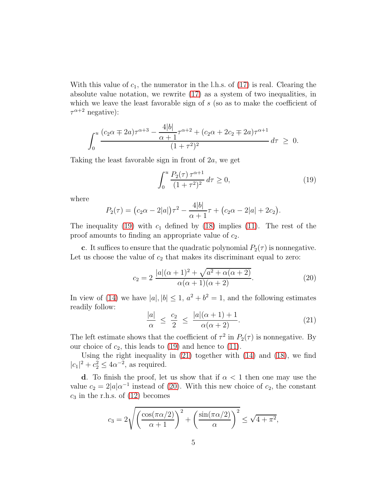With this value of  $c_1$ , the numerator in the l.h.s. of [\(17\)](#page-3-3) is real. Clearing the absolute value notation, we rewrite [\(17\)](#page-3-3) as a system of two inequalities, in which we leave the least favorable sign of  $s$  (so as to make the coefficient of  $\tau^{\alpha+2}$  negative):

$$
\int_0^u \frac{(c_2\alpha \mp 2a)\tau^{\alpha+3} - \frac{4|b|}{\alpha+1}\tau^{\alpha+2} + (c_2\alpha + 2c_2 \mp 2a)\tau^{\alpha+1}}{(1+\tau^2)^2} d\tau \geq 0.
$$

Taking the least favorable sign in front of 2a, we get

<span id="page-4-0"></span>
$$
\int_0^u \frac{P_2(\tau) \,\tau^{\alpha+1}}{(1+\tau^2)^2} \,d\tau \ge 0,\tag{19}
$$

where

$$
P_2(\tau) = (c_2\alpha - 2|a|)\tau^2 - \frac{4|b|}{\alpha + 1}\tau + (c_2\alpha - 2|a| + 2c_2).
$$

The inequality [\(19\)](#page-4-0) with  $c_1$  defined by [\(18\)](#page-3-4) implies [\(11\)](#page-2-1). The rest of the proof amounts to finding an appropriate value of  $c_2$ .

c. It suffices to ensure that the quadratic polynomial  $P_2(\tau)$  is nonnegative. Let us choose the value of  $c_2$  that makes its discriminant equal to zero:

<span id="page-4-2"></span>
$$
c_2 = 2 \frac{|a|(\alpha+1)^2 + \sqrt{a^2 + \alpha(\alpha+2)}}{\alpha(\alpha+1)(\alpha+2)}.
$$
 (20)

In view of [\(14\)](#page-3-5) we have  $|a|, |b| \leq 1$ ,  $a^2 + b^2 = 1$ , and the following estimates readily follow:

<span id="page-4-1"></span>
$$
\frac{|a|}{\alpha} \le \frac{c_2}{2} \le \frac{|a|(\alpha+1)+1}{\alpha(\alpha+2)}.\tag{21}
$$

The left estimate shows that the coefficient of  $\tau^2$  in  $P_2(\tau)$  is nonnegative. By our choice of  $c_2$ , this leads to [\(19\)](#page-4-0) and hence to [\(11\)](#page-2-1).

Using the right inequality in  $(21)$  together with  $(14)$  and  $(18)$ , we find  $|c_1|^2 + c_2^2 \le 4\alpha^{-2}$ , as required.

d. To finish the proof, let us show that if  $\alpha < 1$  then one may use the value  $c_2 = 2|a|\alpha^{-1}$  instead of [\(20\)](#page-4-2). With this new choice of  $c_2$ , the constant  $c_3$  in the r.h.s. of  $(12)$  becomes

$$
c_3 = 2\sqrt{\left(\frac{\cos(\pi\alpha/2)}{\alpha+1}\right)^2 + \left(\frac{\sin(\pi\alpha/2)}{\alpha}\right)^2} \le \sqrt{4+\pi^2},
$$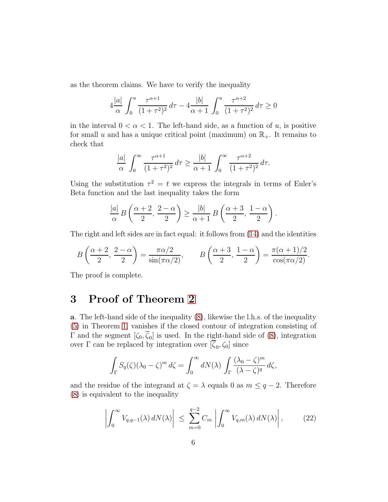as the theorem claims. We have to verify the inequality

$$
4\frac{|a|}{\alpha} \int_0^u \frac{\tau^{\alpha+1}}{(1+\tau^2)^2} d\tau - 4\frac{|b|}{\alpha+1} \int_0^u \frac{\tau^{\alpha+2}}{(1+\tau^2)^2} d\tau \ge 0
$$

in the interval  $0 < \alpha < 1$ . The left-hand side, as a function of u, is positive for small u and has a unique critical point (maximum) on  $\mathbb{R}_+$ . It remains to check that

$$
\frac{|a|}{\alpha} \int_0^\infty \frac{\tau^{\alpha+1}}{(1+\tau^2)^2} d\tau \ge \frac{|b|}{\alpha+1} \int_0^\infty \frac{\tau^{\alpha+2}}{(1+\tau^2)^2} d\tau.
$$

Using the substitution  $\tau^2 = t$  we express the integrals in terms of Euler's Beta function and the last inequality takes the form

$$
\frac{|a|}{\alpha} B\left(\frac{\alpha+2}{2},\frac{2-\alpha}{2}\right) \ge \frac{|b|}{\alpha+1} B\left(\frac{\alpha+3}{2},\frac{1-\alpha}{2}\right).
$$

The right and left sides are in fact equal: it follows from [\(14\)](#page-3-5) and the identities

$$
B\left(\frac{\alpha+2}{2},\frac{2-\alpha}{2}\right) = \frac{\pi\alpha/2}{\sin(\pi\alpha/2)}, \qquad B\left(\frac{\alpha+3}{2},\frac{1-\alpha}{2}\right) = \frac{\pi(\alpha+1)/2}{\cos(\pi\alpha/2)}.
$$

The proof is complete.

## 3 Proof of Theorem [2](#page-1-5)

a. The left-hand side of the inequality [\(8\)](#page-1-6), likewise the l.h.s. of the inequality [\(5\)](#page-1-4) in Theorem [1,](#page-1-3) vanishes if the closed contour of integration consisting of  $\Gamma$  and the segment  $[\zeta_0, \zeta_0]$  is used. In the right-hand side of [\(8\)](#page-1-6), integration over Γ can be replaced by integration over  $[\zeta_0, \zeta_0]$  since

$$
\int_{\Gamma} S_q(\zeta) (\lambda_0 - \zeta)^m d\zeta = \int_0^\infty dN(\lambda) \int_{\Gamma} \frac{(\lambda_0 - \zeta)^m}{(\lambda - \zeta)^q} d\zeta,
$$

and the residue of the integrand at  $\zeta = \lambda$  equals 0 as  $m \leq q - 2$ . Therefore [\(8\)](#page-1-6) is equivalent to the inequality

<span id="page-5-0"></span>
$$
\left| \int_0^\infty V_{q,q-1}(\lambda) dN(\lambda) \right| \leq \sum_{m=0}^{q-2} C_m \left| \int_0^\infty V_{q,m}(\lambda) dN(\lambda) \right|, \tag{22}
$$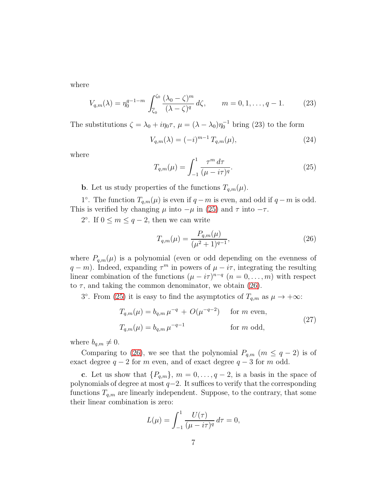where

$$
V_{q,m}(\lambda) = \eta_0^{q-1-m} \int_{\overline{\zeta}_0}^{\zeta_0} \frac{(\lambda_0 - \zeta)^m}{(\lambda - \zeta)^q} d\zeta, \qquad m = 0, 1, \dots, q-1.
$$
 (23)

The substitutions  $\zeta = \lambda_0 + i\eta_0 \tau$ ,  $\mu = (\lambda - \lambda_0)\eta_0^{-1}$  bring (23) to the form

<span id="page-6-2"></span>
$$
V_{q,m}(\lambda) = (-i)^{m-1} T_{q,m}(\mu), \qquad (24)
$$

where

<span id="page-6-0"></span>
$$
T_{q,m}(\mu) = \int_{-1}^{1} \frac{\tau^m \, d\tau}{(\mu - i\tau)^q}.
$$
 (25)

**b**. Let us study properties of the functions  $T_{a,m}(\mu)$ .

1°. The function  $T_{q,m}(\mu)$  is even if  $q-m$  is even, and odd if  $q-m$  is odd. This is verified by changing  $\mu$  into  $-\mu$  in [\(25\)](#page-6-0) and  $\tau$  into  $-\tau$ .

2°. If  $0 \le m \le q-2$ , then we can write

<span id="page-6-1"></span>
$$
T_{q,m}(\mu) = \frac{P_{q,m}(\mu)}{(\mu^2 + 1)^{q-1}},\tag{26}
$$

where  $P_{q,m}(\mu)$  is a polynomial (even or odd depending on the evenness of  $q - m$ ). Indeed, expanding  $\tau^m$  in powers of  $\mu - i\tau$ , integrating the resulting linear combination of the functions  $(\mu - i\tau)^{n-q}$   $(n = 0, \ldots, m)$  with respect to  $\tau$ , and taking the common denominator, we obtain [\(26\)](#page-6-1).

3°. From [\(25\)](#page-6-0) it is easy to find the asymptotics of  $T_{q,m}$  as  $\mu \to +\infty$ :

<span id="page-6-3"></span>
$$
T_{q,m}(\mu) = b_{q,m} \mu^{-q} + O(\mu^{-q-2}) \quad \text{for } m \text{ even},
$$
  
\n
$$
T_{q,m}(\mu) = b_{q,m} \mu^{-q-1} \qquad \text{for } m \text{ odd},
$$
\n(27)

where  $b_{q,m} \neq 0$ .

Comparing to [\(26\)](#page-6-1), we see that the polynomial  $P_{q,m}$  ( $m \leq q-2$ ) is of exact degree  $q - 2$  for m even, and of exact degree  $q - 3$  for m odd.

c. Let us show that  $\{P_{q,m}\}, m = 0, \ldots, q-2$ , is a basis in the space of polynomials of degree at most  $q-2$ . It suffices to verify that the corresponding functions  $T_{q,m}$  are linearly independent. Suppose, to the contrary, that some their linear combination is zero:

$$
L(\mu) = \int_{-1}^{1} \frac{U(\tau)}{(\mu - i\tau)^q} d\tau = 0,
$$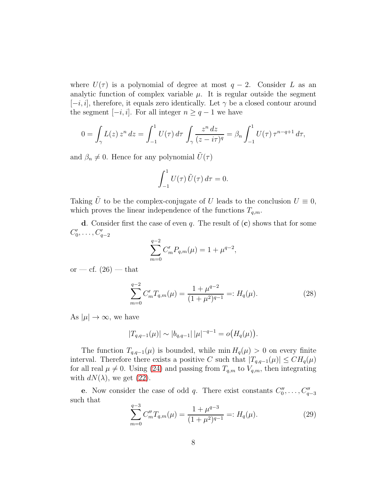where  $U(\tau)$  is a polynomial of degree at most  $q-2$ . Consider L as an analytic function of complex variable  $\mu$ . It is regular outside the segment  $[-i, i]$ , therefore, it equals zero identically. Let  $\gamma$  be a closed contour around the segment  $[-i, i]$ . For all integer  $n \geq q - 1$  we have

$$
0 = \int_{\gamma} L(z) z^n dz = \int_{-1}^{1} U(\tau) d\tau \int_{\gamma} \frac{z^n dz}{(z - i\tau)^q} = \beta_n \int_{-1}^{1} U(\tau) \tau^{n-q+1} d\tau,
$$

and  $\beta_n \neq 0$ . Hence for any polynomial  $\tilde{U}(\tau)$ 

$$
\int_{-1}^{1} U(\tau) \, \tilde{U}(\tau) \, d\tau = 0.
$$

Taking  $\tilde{U}$  to be the complex-conjugate of U leads to the conclusion  $U \equiv 0$ , which proves the linear independence of the functions  $T_{q,m}.$ 

d. Consider first the case of even  $q$ . The result of  $(c)$  shows that for some  $C'_{0}$  $C'_{q-2}$ 

$$
\sum_{m=0}^{q-2} C'_m P_{q,m}(\mu) = 1 + \mu^{q-2},
$$

or — cf.  $(26)$  — that

<span id="page-7-0"></span>
$$
\sum_{m=0}^{q-2} C'_m T_{q,m}(\mu) = \frac{1 + \mu^{q-2}}{(1 + \mu^2)^{q-1}} =: H_q(\mu).
$$
 (28)

As  $|\mu| \to \infty$ , we have

$$
|T_{q,q-1}(\mu)| \sim |b_{q,q-1}| \, |\mu|^{-q-1} = o\big(H_q(\mu)\big).
$$

The function  $T_{q,q-1}(\mu)$  is bounded, while min  $H_q(\mu) > 0$  on every finite interval. Therefore there exists a positive C such that  $|T_{q,q-1}(\mu)| \leq CH_q(\mu)$ for all real  $\mu \neq 0$ . Using [\(24\)](#page-6-2) and passing from  $T_{q,m}$  to  $V_{q,m}$ , then integrating with  $dN(\lambda)$ , we get [\(22\)](#page-5-0).

**e**. Now consider the case of odd q. There exist constants  $C_0''$  $C''_{q-3}$ such that

<span id="page-7-1"></span>
$$
\sum_{m=0}^{q-3} C_m'' T_{q,m}(\mu) = \frac{1 + \mu^{q-3}}{(1 + \mu^2)^{q-1}} =: H_q(\mu). \tag{29}
$$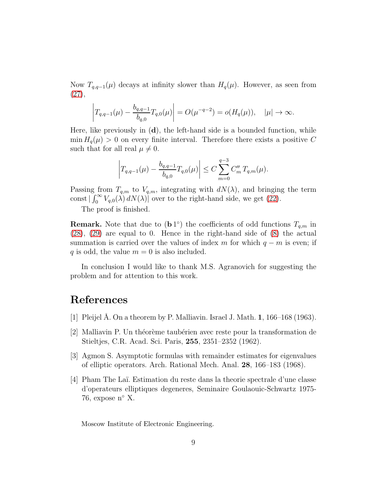Now  $T_{q,q-1}(\mu)$  decays at infinity slower than  $H_q(\mu)$ . However, as seen from [\(27\)](#page-6-3),

$$
\left| T_{q,q-1}(\mu) - \frac{b_{q,q-1}}{b_{q,0}} T_{q,0}(\mu) \right| = O(\mu^{-q-2}) = o(H_q(\mu)), \quad |\mu| \to \infty.
$$

Here, like previously in  $(d)$ , the left-hand side is a bounded function, while  $\min H_q(\mu) > 0$  on every finite interval. Therefore there exists a positive C such that for all real  $\mu \neq 0$ .

$$
\left|T_{q,q-1}(\mu)-\frac{b_{q,q-1}}{b_{q,0}}T_{q,0}(\mu)\right|\leq C\sum_{m=0}^{q-3}C_m''\,T_{q,m}(\mu).
$$

Passing from  $T_{q,m}$  to  $V_{q,m}$ , integrating with  $dN(\lambda)$ , and bringing the term const  $\int_0^\infty V_{q,0}(\lambda) dN(\lambda)$  over to the right-hand side, we get [\(22\)](#page-5-0).

The proof is finished.

**Remark.** Note that due to  $(b1^{\circ})$  the coefficients of odd functions  $T_{q,m}$  in [\(28\)](#page-7-0), [\(29\)](#page-7-1) are equal to 0. Hence in the right-hand side of [\(8\)](#page-1-6) the actual summation is carried over the values of index m for which  $q - m$  is even; if q is odd, the value  $m = 0$  is also included.

In conclusion I would like to thank M.S. Agranovich for suggesting the problem and for attention to this work.

#### <span id="page-8-0"></span>References

- <span id="page-8-1"></span>[1] Pleijel A. On a theorem by P. Malliavin. Israel J. Math.  $1, 166-168$  (1963).
- [2] Malliavin P. Un th´eor`eme taub´erien avec reste pour la transformation de Stieltjes, C.R. Acad. Sci. Paris, 255, 2351–2352 (1962).
- <span id="page-8-3"></span><span id="page-8-2"></span>[3] Agmon S. Asymptotic formulas with remainder estimates for eigenvalues of elliptic operators. Arch. Rational Mech. Anal. 28, 166–183 (1968).
- [4] Pham The La¨ı. Estimation du reste dans la theorie spectrale d'une classe d'operateurs elliptiques degeneres, Seminaire Goulaouic-Schwartz 1975- 76, expose  $n^{\circ}$  X.

Moscow Institute of Electronic Engineering.